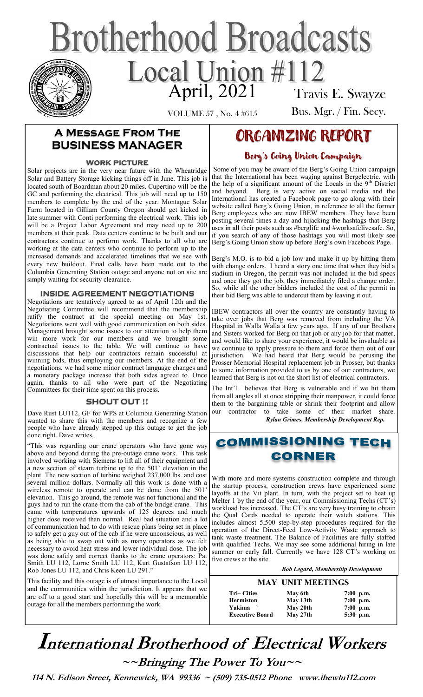# **Brotherhood Broadcasts** Local Union #112 Travis E. Swayze

VOLUME 57 , No. 4 #615

Bus. Mgr. / Fin. Secy.

## **A Message From The BUSINESS MANAGER**

### **work picture**

Solar projects are in the very near future with the Wheatridge Solar and Battery Storage kicking things off in June. This job is located south of Boardman about 20 miles. Cupertino will be the GC and performing the electrical. This job will need up to 150 members to complete by the end of the year. Montague Solar Farm located in Gilliam County Oregon should get kicked in late summer with Conti performing the electrical work. This job will be a Project Labor Agreement and may need up to 200 members at their peak. Data centers continue to be built and our contractors continue to perform work. Thanks to all who are working at the data centers who continue to perform up to the increased demands and accelerated timelines that we see with every new buildout. Final calls have been made out to the Columbia Generating Station outage and anyone not on site are simply waiting for security clearance.

### **INSIDE AGREEMENT NEGOTIATIONS**

Negotiations are tentatively agreed to as of April 12th and the Negotiating Committee will recommend that the membership ratify the contract at the special meeting on May 1st. Negotiations went well with good communication on both sides. Management brought some issues to our attention to help them win more work for our members and we brought some contractual issues to the table. We will continue to have discussions that help our contractors remain successful at winning bids, thus employing our members. At the end of the negotiations, we had some minor contract language changes and a monetary package increase that both sides agreed to. Once again, thanks to all who were part of the Negotiating Committees for their time spent on this process.

#### **SHOUT OUT !!**

Dave Rust LU112, GF for WPS at Columbia Generating Station wanted to share this with the members and recognize a few people who have already stepped up this outage to get the job done right. Dave writes,

"This was regarding our crane operators who have gone way above and beyond during the pre-outage crane work. This task involved working with Siemens to lift all of their equipment and a new section of steam turbine up to the 501' elevation in the plant. The new section of turbine weighed 237,000 lbs. and cost several million dollars. Normally all this work is done with a wireless remote to operate and can be done from the 501' elevation. This go around, the remote was not functional and the guys had to run the crane from the cab of the bridge crane. This came with temperatures upwards of 125 degrees and much higher dose received than normal. Real bad situation and a lot of communication had to do with rescue plans being set in place to safely get a guy out of the cab if he were unconscious, as well as being able to swap out with as many operators as we felt necessary to avoid heat stress and lower individual dose. The job was done safely and correct thanks to the crane operators: Pat Smith LU 112, Lorne Smith LU 112, Kurt Gustafson LU 112, Rob Jones LU 112, and Chris Keen LU 291."

This facility and this outage is of utmost importance to the Local and the communities within the jurisdiction. It appears that we are off to a good start and hopefully this will be a memorable outage for all the members performing the work.

# ORGANIZING REPORT

### Berg's Going Union Campaign

Some of you may be aware of the Berg's Going Union campaign that the International has been waging against Bergelectric. with the help of a significant amount of the Locals in the  $9<sup>th</sup>$  District and beyond. Berg is very active on social media and the Berg is very active on social media and the International has created a Facebook page to go along with their website called Berg's Going Union, in reference to all the former Berg employees who are now IBEW members. They have been posting several times a day and hijacking the hashtags that Berg uses in all their posts such as #berglife and #worksafelivesafe. So, if you search of any of those hashtags you will most likely see Berg's Going Union show up before Berg's own Facebook Page.

Berg's M.O. is to bid a job low and make it up by hitting them with change orders. I heard a story one time that when they bid a stadium in Oregon, the permit was not included in the bid specs and once they got the job, they immediately filed a change order. So, while all the other bidders included the cost of the permit in their bid Berg was able to undercut them by leaving it out.

IBEW contractors all over the country are constantly having to take over jobs that Berg was removed from including the VA Hospital in Walla Walla a few years ago. If any of our Brothers and Sisters worked for Berg on that job or any job for that matter, and would like to share your experience, it would be invaluable as we continue to apply pressure to them and force them out of our jurisdiction. We had heard that Berg would be perusing the Prosser Memorial Hospital replacement job in Prosser, but thanks to some information provided to us by one of our contractors, we learned that Berg is not on the short list of electrical contractors.

The Int'l. believes that Berg is vulnerable and if we hit them from all angles all at once stripping their manpower, it could force them to the bargaining table or shrink their footprint and allow our contractor to take some of their market share.  *Rylan Grimes, Membership Development Rep.* 

# **COMMISSIONING TECH** CORNER

With more and more systems construction complete and through the startup process, construction crews have experienced some layoffs at the Vit plant. In turn, with the project set to heat up Melter 1 by the end of the year, our Commissioning Techs (CT's) workload has increased. The CT's are very busy training to obtain the Qual Cards needed to operate their watch stations. This includes almost 5,500 step-by-step procedures required for the operation of the Direct-Feed Low-Activity Waste approach to tank waste treatment. The Balance of Facilities are fully staffed with qualified Techs. We may see some additional hiring in late summer or early fall. Currently we have 128 CT's working on five crews at the site.

 *Bob Legard, Membership Development* 

#### **MAY UNIT MEETINGS**

| <b>Tri–Cities</b>      | May 6th  | $7:00$ p.m. |
|------------------------|----------|-------------|
| <b>Hermiston</b>       | May 13th | $7:00$ p.m. |
| Yakima                 | May 20th | $7:00$ p.m. |
| <b>Executive Board</b> | May 27th | $5:30$ p.m. |

# **International Brotherhood of <sup>E</sup>lectrical Workers ~~Bringing The Power To You~~**

 **114 N. Edison Street, Kennewick, WA 99336 ~ (509) 735-0512 Phone www.ibewlu112.com**